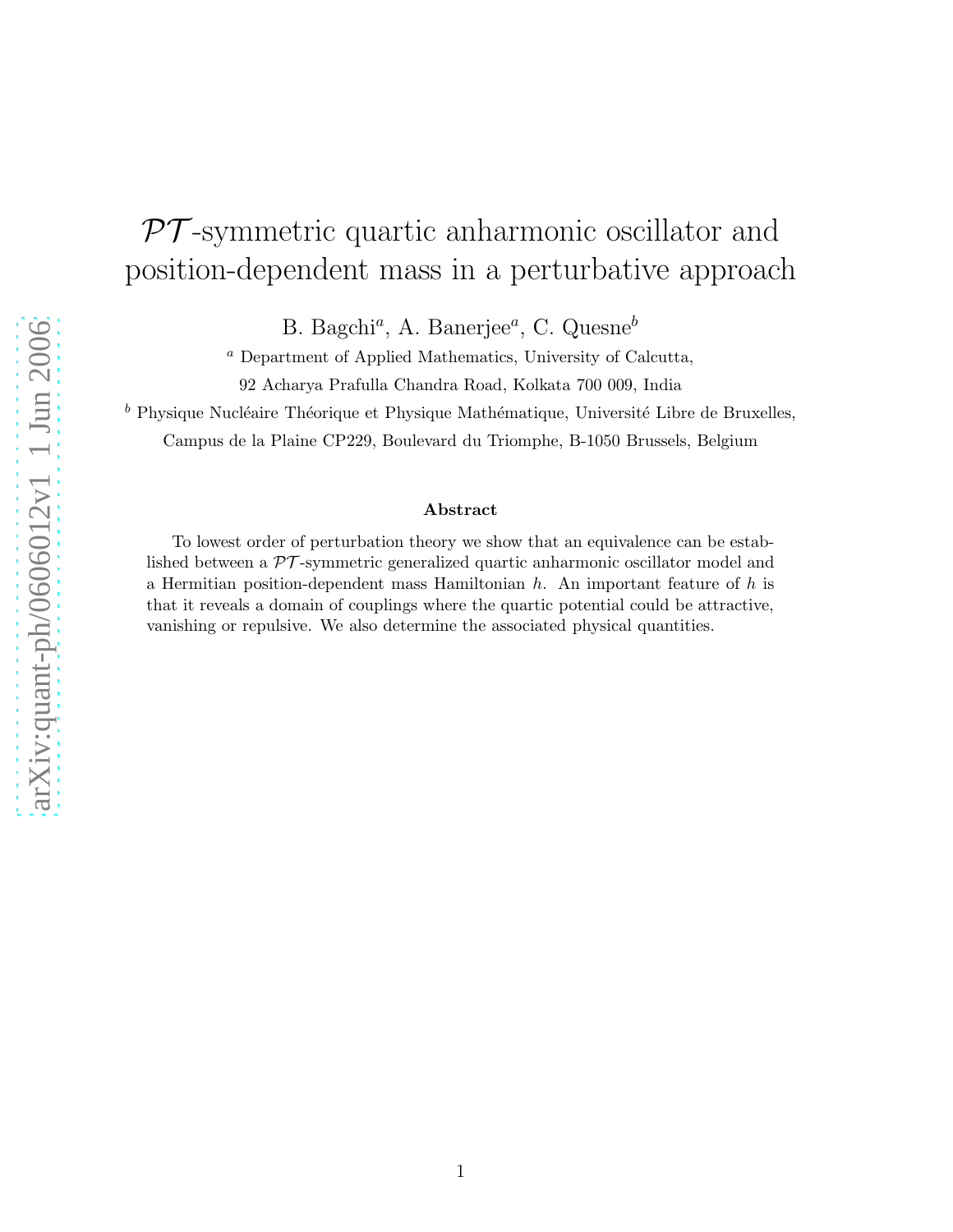## $\mathcal{PT}$ -symmetric quartic anharmonic oscillator and position-dependent mass in a perturbative approach

B. Bagchi<sup>a</sup>, A. Banerjee<sup>a</sup>, C. Quesne<sup>b</sup>

<sup>a</sup> Department of Applied Mathematics, University of Calcutta,

92 Acharya Prafulla Chandra Road, Kolkata 700 009, India

 $^b$  Physique Nucléaire Théorique et Physique Mathématique, Université Libre de Bruxelles,

Campus de la Plaine CP229, Boulevard du Triomphe, B-1050 Brussels, Belgium

## Abstract

To lowest order of perturbation theory we show that an equivalence can be established between a PT -symmetric generalized quartic anharmonic oscillator model and a Hermitian position-dependent mass Hamiltonian  $h$ . An important feature of  $h$  is that it reveals a domain of couplings where the quartic potential could be attractive, vanishing or repulsive. We also determine the associated physical quantities.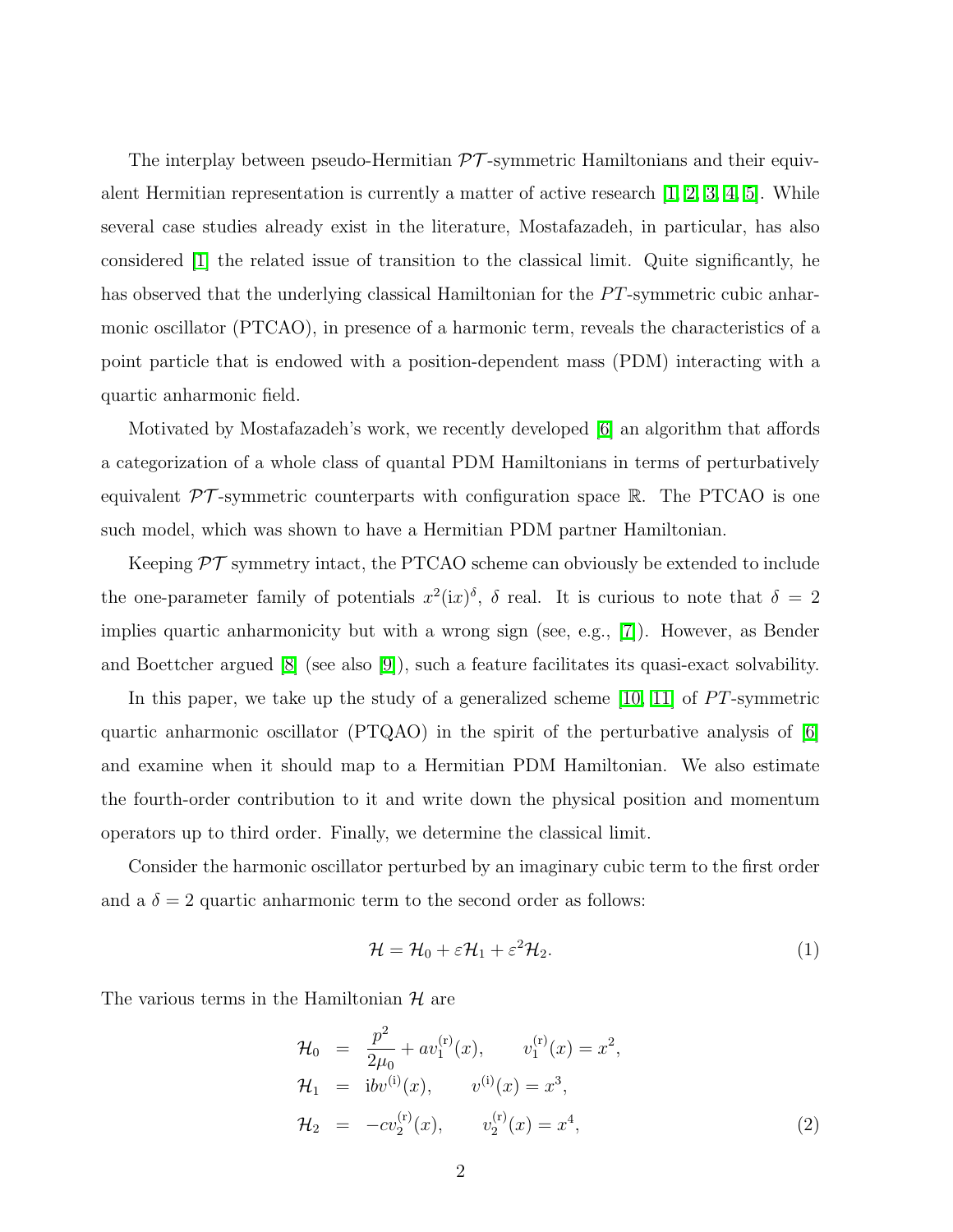The interplay between pseudo-Hermitian  $\mathcal{PT}$ -symmetric Hamiltonians and their equivalent Hermitian representation is currently a matter of active research [\[1,](#page-7-0) [2,](#page-7-1) [3,](#page-7-2) [4,](#page-7-3) [5\]](#page-7-4). While several case studies already exist in the literature, Mostafazadeh, in particular, has also considered [\[1\]](#page-7-0) the related issue of transition to the classical limit. Quite significantly, he has observed that the underlying classical Hamiltonian for the  $PT$ -symmetric cubic anharmonic oscillator (PTCAO), in presence of a harmonic term, reveals the characteristics of a point particle that is endowed with a position-dependent mass (PDM) interacting with a quartic anharmonic field.

Motivated by Mostafazadeh's work, we recently developed [\[6\]](#page-7-5) an algorithm that affords a categorization of a whole class of quantal PDM Hamiltonians in terms of perturbatively equivalent  $\mathcal{PT}$ -symmetric counterparts with configuration space R. The PTCAO is one such model, which was shown to have a Hermitian PDM partner Hamiltonian.

Keeping  $\mathcal{PT}$  symmetry intact, the PTCAO scheme can obviously be extended to include the one-parameter family of potentials  $x^2(ix)^{\delta}$ ,  $\delta$  real. It is curious to note that  $\delta = 2$ implies quartic anharmonicity but with a wrong sign (see, e.g., [\[7\]](#page-7-6)). However, as Bender and Boettcher argued [\[8\]](#page-7-7) (see also [\[9\]](#page-7-8)), such a feature facilitates its quasi-exact solvability.

In this paper, we take up the study of a generalized scheme  $[10, 11]$  $[10, 11]$  of PT-symmetric quartic anharmonic oscillator (PTQAO) in the spirit of the perturbative analysis of [\[6\]](#page-7-5) and examine when it should map to a Hermitian PDM Hamiltonian. We also estimate the fourth-order contribution to it and write down the physical position and momentum operators up to third order. Finally, we determine the classical limit.

Consider the harmonic oscillator perturbed by an imaginary cubic term to the first order and a  $\delta = 2$  quartic anharmonic term to the second order as follows:

<span id="page-1-0"></span>
$$
\mathcal{H} = \mathcal{H}_0 + \varepsilon \mathcal{H}_1 + \varepsilon^2 \mathcal{H}_2.
$$
 (1)

The various terms in the Hamiltonian  $\mathcal H$  are

$$
\mathcal{H}_0 = \frac{p^2}{2\mu_0} + av_1^{(r)}(x), \qquad v_1^{(r)}(x) = x^2,
$$
  
\n
$$
\mathcal{H}_1 = ibv^{(i)}(x), \qquad v^{(i)}(x) = x^3,
$$
  
\n
$$
\mathcal{H}_2 = -cv_2^{(r)}(x), \qquad v_2^{(r)}(x) = x^4,
$$
\n(2)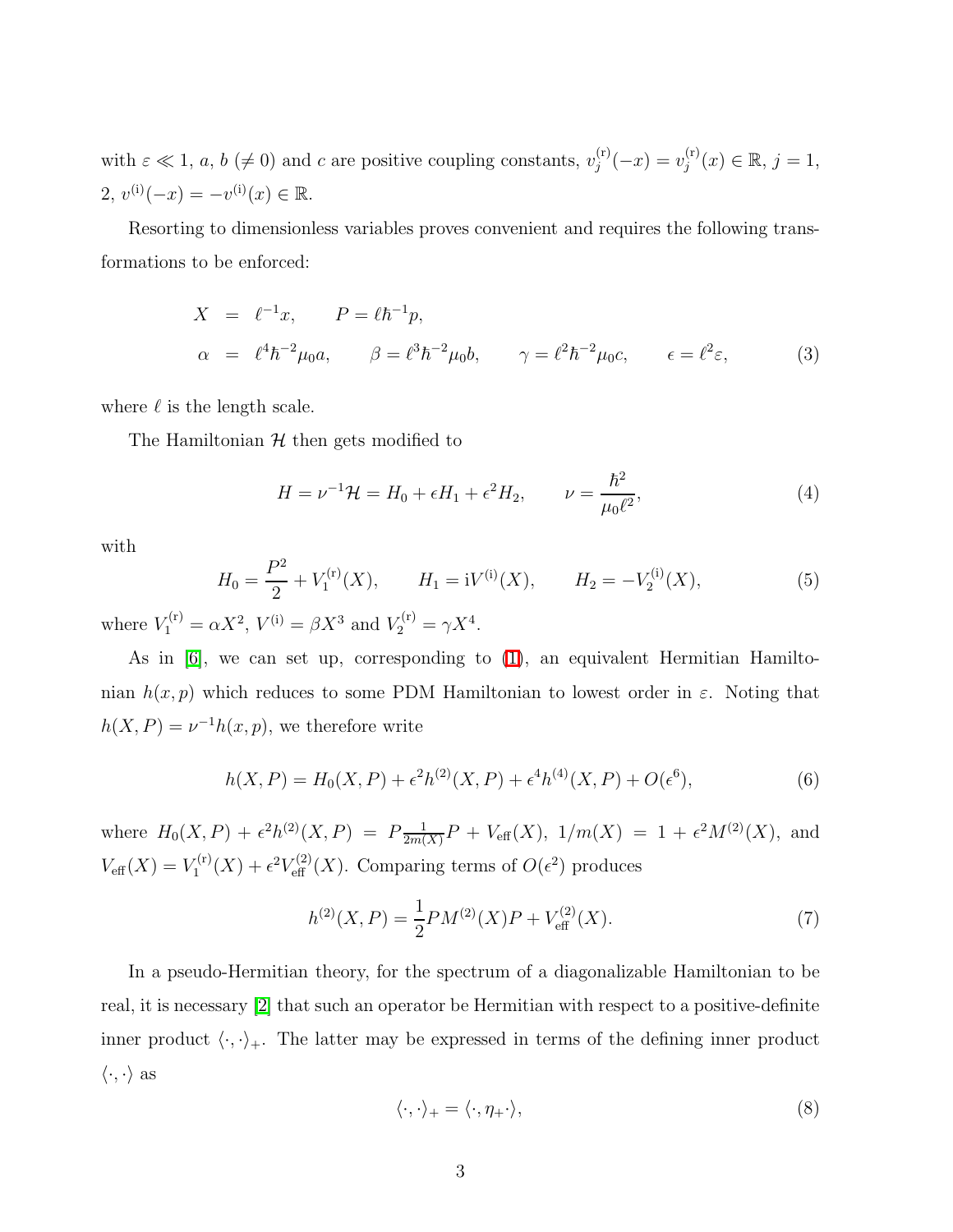with  $\varepsilon \ll 1$ ,  $a, b \ (\neq 0)$  and c are positive coupling constants,  $v_j^{(r)}$  $j^{(r)}(x) = v_j^{(r)}$  $j^{(r)}(x) \in \mathbb{R}, j = 1,$ 2,  $v^{(i)}(-x) = -v^{(i)}(x) \in \mathbb{R}$ .

Resorting to dimensionless variables proves convenient and requires the following transformations to be enforced:

$$
X = \ell^{-1}x, \qquad P = \ell \hbar^{-1}p,
$$
  
\n
$$
\alpha = \ell^{4} \hbar^{-2} \mu_{0} a, \qquad \beta = \ell^{3} \hbar^{-2} \mu_{0} b, \qquad \gamma = \ell^{2} \hbar^{-2} \mu_{0} c, \qquad \epsilon = \ell^{2} \varepsilon,
$$
\n(3)

where  $\ell$  is the length scale.

<span id="page-2-1"></span>The Hamiltonian  $H$  then gets modified to

$$
H = \nu^{-1} \mathcal{H} = H_0 + \epsilon H_1 + \epsilon^2 H_2, \qquad \nu = \frac{\hbar^2}{\mu_0 \ell^2},
$$
 (4)

<span id="page-2-2"></span>with

$$
H_0 = \frac{P^2}{2} + V_1^{(r)}(X), \qquad H_1 = iV^{(i)}(X), \qquad H_2 = -V_2^{(i)}(X), \tag{5}
$$

where  $V_1^{(r)} = \alpha X^2$ ,  $V^{(i)} = \beta X^3$  and  $V_2^{(r)} = \gamma X^4$ .

<span id="page-2-3"></span>As in [\[6\]](#page-7-5), we can set up, corresponding to [\(1\)](#page-1-0), an equivalent Hermitian Hamiltonian  $h(x, p)$  which reduces to some PDM Hamiltonian to lowest order in  $\varepsilon$ . Noting that  $h(X, P) = \nu^{-1}h(x, p)$ , we therefore write

<span id="page-2-4"></span>
$$
h(X, P) = H_0(X, P) + \epsilon^2 h^{(2)}(X, P) + \epsilon^4 h^{(4)}(X, P) + O(\epsilon^6),
$$
\n(6)

where  $H_0(X, P) + \epsilon^2 h^{(2)}(X, P) = P \frac{1}{2m\ell}$  $\frac{1}{2m(X)}P + V_{\text{eff}}(X), \ 1/m(X) = 1 + \epsilon^2 M^{(2)}(X), \text{ and}$  $V_{\text{eff}}(X) = V_1^{(r)}$  $I_1^{(r)}(X) + \epsilon^2 V_{\text{eff}}^{(2)}(X)$ . Comparing terms of  $O(\epsilon^2)$  produces

$$
h^{(2)}(X,P) = \frac{1}{2}PM^{(2)}(X)P + V_{\text{eff}}^{(2)}(X). \tag{7}
$$

In a pseudo-Hermitian theory, for the spectrum of a diagonalizable Hamiltonian to be real, it is necessary [\[2\]](#page-7-1) that such an operator be Hermitian with respect to a positive-definite inner product  $\langle \cdot, \cdot \rangle_+$ . The latter may be expressed in terms of the defining inner product  $\langle \cdot, \cdot \rangle$  as

<span id="page-2-0"></span>
$$
\langle \cdot, \cdot \rangle_+ = \langle \cdot, \eta_+ \cdot \rangle,\tag{8}
$$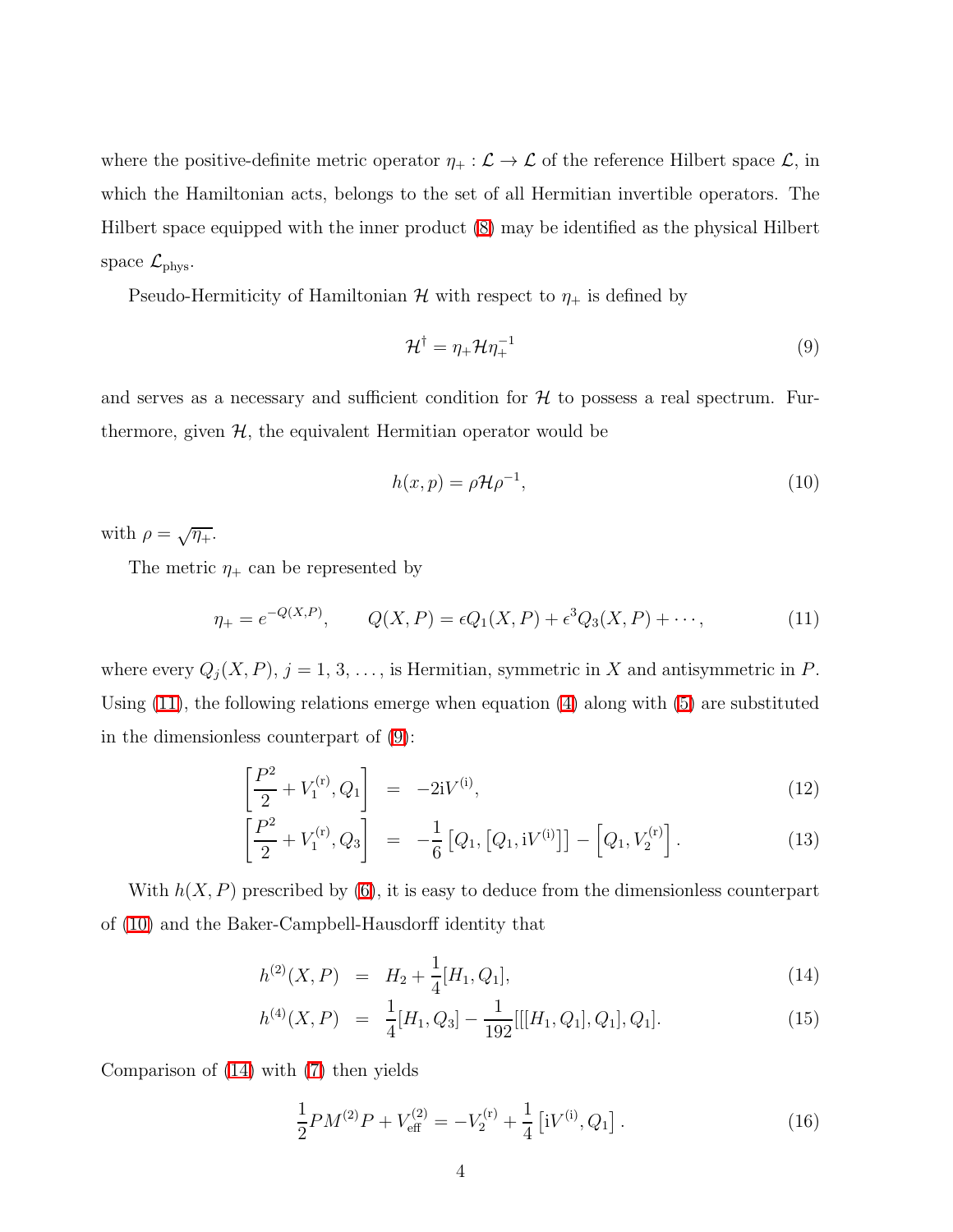where the positive-definite metric operator  $\eta_+ : \mathcal{L} \to \mathcal{L}$  of the reference Hilbert space  $\mathcal{L}$ , in which the Hamiltonian acts, belongs to the set of all Hermitian invertible operators. The Hilbert space equipped with the inner product [\(8\)](#page-2-0) may be identified as the physical Hilbert space  $\mathcal{L}_{\text{phys}}$ .

Pseudo-Hermiticity of Hamiltonian  $\mathcal H$  with respect to  $\eta_+$  is defined by

<span id="page-3-1"></span>
$$
\mathcal{H}^{\dagger} = \eta_{+} \mathcal{H} \eta_{+}^{-1} \tag{9}
$$

and serves as a necessary and sufficient condition for  $H$  to possess a real spectrum. Furthermore, given  $H$ , the equivalent Hermitian operator would be

<span id="page-3-2"></span>
$$
h(x,p) = \rho \mathcal{H} \rho^{-1},\tag{10}
$$

with  $\rho = \sqrt{\eta_+}.$ 

<span id="page-3-0"></span>The metric  $\eta_+$  can be represented by

$$
\eta_{+} = e^{-Q(X,P)}, \qquad Q(X,P) = \epsilon Q_{1}(X,P) + \epsilon^{3} Q_{3}(X,P) + \cdots,
$$
\n(11)

<span id="page-3-4"></span>where every  $Q_j(X, P), j = 1, 3, \ldots$ , is Hermitian, symmetric in X and antisymmetric in P. Using [\(11\)](#page-3-0), the following relations emerge when equation [\(4\)](#page-2-1) along with [\(5\)](#page-2-2) are substituted in the dimensionless counterpart of [\(9\)](#page-3-1):

$$
\left[\frac{P^2}{2} + V_1^{(r)}, Q_1\right] = -2iV^{(i)},\tag{12}
$$

$$
\left[\frac{P^2}{2} + V_1^{(r)}, Q_3\right] = -\frac{1}{6} \left[Q_1, \left[Q_1, iV^{(i)}\right]\right] - \left[Q_1, V_2^{(r)}\right].\tag{13}
$$

<span id="page-3-3"></span>With  $h(X, P)$  prescribed by [\(6\)](#page-2-3), it is easy to deduce from the dimensionless counterpart of [\(10\)](#page-3-2) and the Baker-Campbell-Hausdorff identity that

$$
h^{(2)}(X,P) = H_2 + \frac{1}{4}[H_1, Q_1], \tag{14}
$$

$$
h^{(4)}(X,P) = \frac{1}{4}[H_1, Q_3] - \frac{1}{192}[[[H_1, Q_1], Q_1], Q_1].
$$
\n(15)

<span id="page-3-5"></span>Comparison of [\(14\)](#page-3-3) with [\(7\)](#page-2-4) then yields

$$
\frac{1}{2}PM^{(2)}P + V_{\text{eff}}^{(2)} = -V_2^{(r)} + \frac{1}{4} \left[ iV^{(i)}, Q_1 \right]. \tag{16}
$$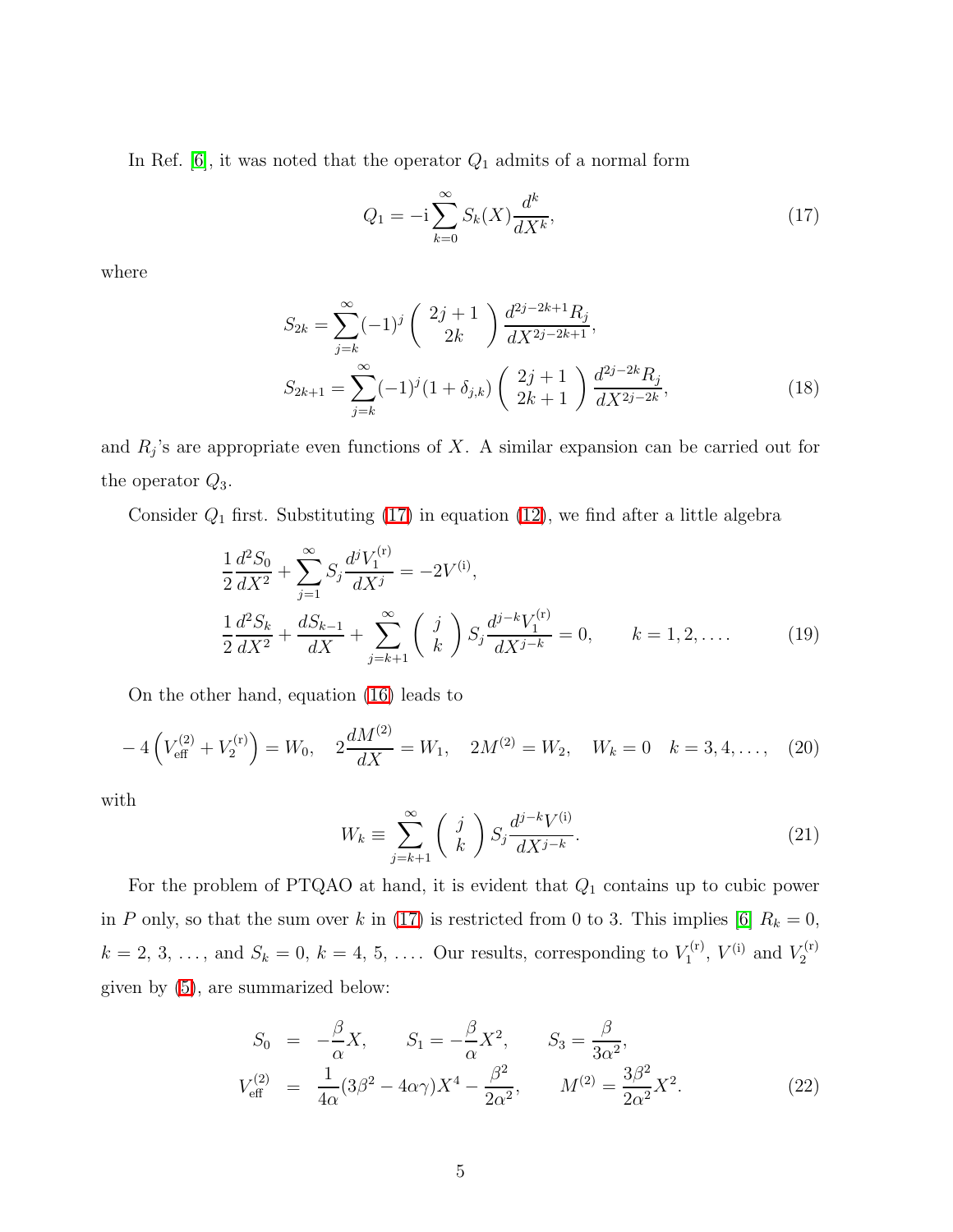In Ref. [\[6\]](#page-7-5), it was noted that the operator  $Q_1$  admits of a normal form

<span id="page-4-0"></span>
$$
Q_1 = -i \sum_{k=0}^{\infty} S_k(X) \frac{d^k}{dX^k},
$$
\n(17)

where

$$
S_{2k} = \sum_{j=k}^{\infty} (-1)^j \binom{2j+1}{2k} \frac{d^{2j-2k+1} R_j}{dX^{2j-2k+1}},
$$
  
\n
$$
S_{2k+1} = \sum_{j=k}^{\infty} (-1)^j (1+\delta_{j,k}) \binom{2j+1}{2k+1} \frac{d^{2j-2k} R_j}{dX^{2j-2k}},
$$
\n(18)

and  $R_j$ 's are appropriate even functions of X. A similar expansion can be carried out for the operator  $Q_3$ .

Consider  $Q_1$  first. Substituting [\(17\)](#page-4-0) in equation [\(12\)](#page-3-4), we find after a little algebra

$$
\frac{1}{2}\frac{d^2S_0}{dX^2} + \sum_{j=1}^{\infty} S_j \frac{d^j V_1^{(r)}}{dX^j} = -2V^{(i)},
$$
\n
$$
\frac{1}{2}\frac{d^2S_k}{dX^2} + \frac{dS_{k-1}}{dX} + \sum_{j=k+1}^{\infty} \binom{j}{k} S_j \frac{d^{j-k}V_1^{(r)}}{dX^{j-k}} = 0, \qquad k = 1, 2, ....
$$
\n(19)

On the other hand, equation [\(16\)](#page-3-5) leads to

$$
-4\left(V_{\text{eff}}^{(2)} + V_2^{(r)}\right) = W_0, \quad 2\frac{dM^{(2)}}{dX} = W_1, \quad 2M^{(2)} = W_2, \quad W_k = 0 \quad k = 3, 4, \dots, \quad (20)
$$

with

$$
W_k \equiv \sum_{j=k+1}^{\infty} \left(\begin{array}{c} j \\ k \end{array}\right) S_j \frac{d^{j-k} V^{(i)}}{dX^{j-k}}.
$$
\n(21)

For the problem of PTQAO at hand, it is evident that  $Q_1$  contains up to cubic power in P only, so that the sum over k in [\(17\)](#page-4-0) is restricted from 0 to 3. This implies [\[6\]](#page-7-5)  $R_k = 0$ ,  $k = 2, 3, \ldots$ , and  $S_k = 0, k = 4, 5, \ldots$ . Our results, corresponding to  $V_1^{(r)}$  $V_1^{(r)}$ ,  $V^{(i)}$  and  $V_2^{(r)}$ 2 given by [\(5\)](#page-2-2), are summarized below:

$$
S_0 = -\frac{\beta}{\alpha} X, \qquad S_1 = -\frac{\beta}{\alpha} X^2, \qquad S_3 = \frac{\beta}{3\alpha^2},
$$
  

$$
V_{\text{eff}}^{(2)} = \frac{1}{4\alpha} (3\beta^2 - 4\alpha \gamma) X^4 - \frac{\beta^2}{2\alpha^2}, \qquad M^{(2)} = \frac{3\beta^2}{2\alpha^2} X^2.
$$
 (22)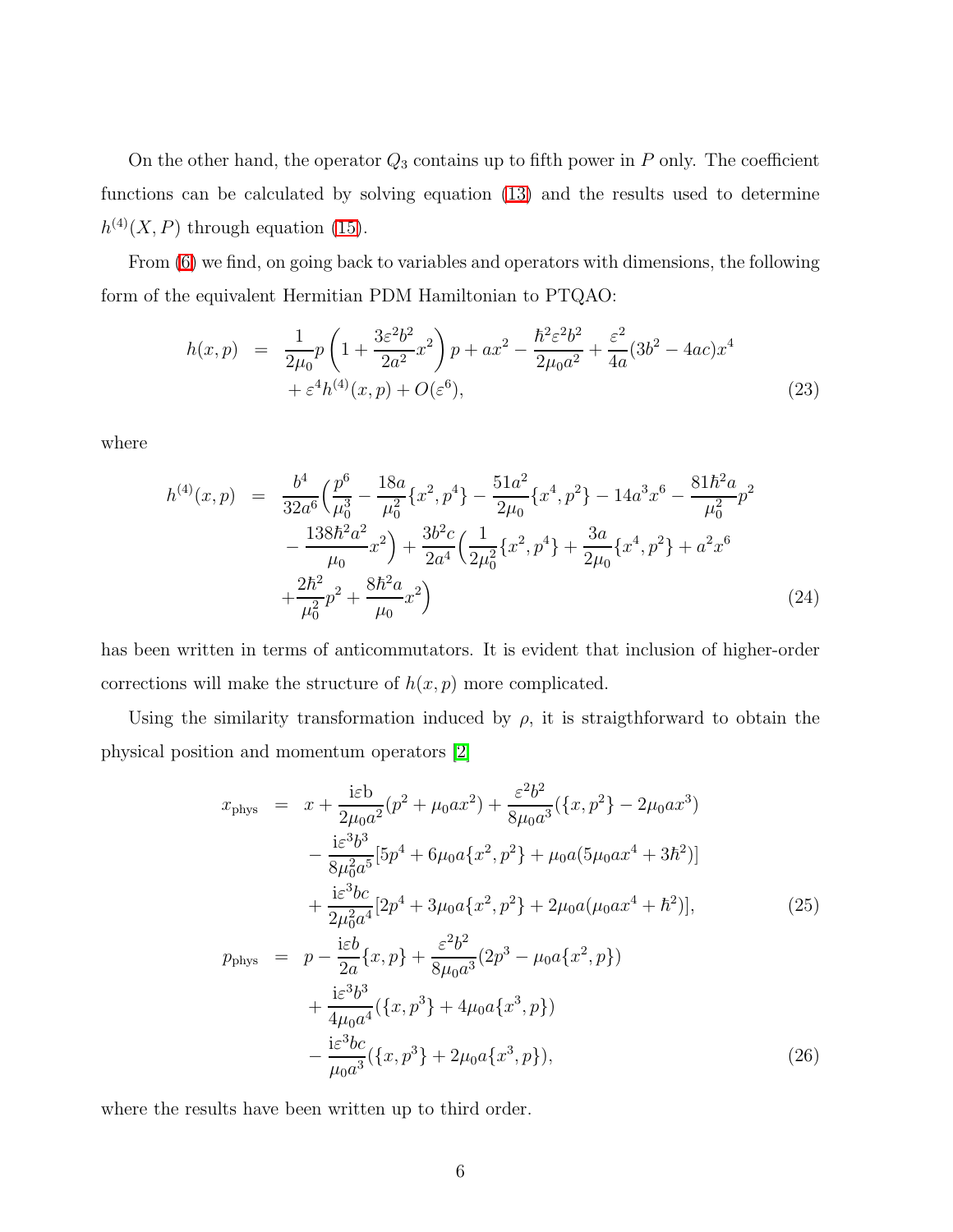On the other hand, the operator  $Q_3$  contains up to fifth power in P only. The coefficient functions can be calculated by solving equation [\(13\)](#page-3-4) and the results used to determine  $h^{(4)}(X,P)$  through equation [\(15\)](#page-3-3).

From [\(6\)](#page-2-3) we find, on going back to variables and operators with dimensions, the following form of the equivalent Hermitian PDM Hamiltonian to PTQAO:

$$
h(x,p) = \frac{1}{2\mu_0} p \left( 1 + \frac{3\varepsilon^2 b^2}{2a^2} x^2 \right) p + ax^2 - \frac{\hbar^2 \varepsilon^2 b^2}{2\mu_0 a^2} + \frac{\varepsilon^2}{4a} (3b^2 - 4ac) x^4 + \varepsilon^4 h^{(4)}(x,p) + O(\varepsilon^6),
$$
\n(23)

where

$$
h^{(4)}(x,p) = \frac{b^4}{32a^6} \left( \frac{p^6}{\mu_0^3} - \frac{18a}{\mu_0^2} \{x^2, p^4\} - \frac{51a^2}{2\mu_0} \{x^4, p^2\} - 14a^3x^6 - \frac{81\hbar^2 a}{\mu_0^2} p^2 - \frac{138\hbar^2 a^2}{\mu_0} x^2 \right) + \frac{3b^2c}{2a^4} \left( \frac{1}{2\mu_0^2} \{x^2, p^4\} + \frac{3a}{2\mu_0} \{x^4, p^2\} + a^2x^6 + \frac{2\hbar^2}{\mu_0^2} p^2 + \frac{8\hbar^2 a}{\mu_0} x^2 \right) \tag{24}
$$

has been written in terms of anticommutators. It is evident that inclusion of higher-order corrections will make the structure of  $h(x, p)$  more complicated.

Using the similarity transformation induced by  $\rho$ , it is straigthforward to obtain the physical position and momentum operators [\[2\]](#page-7-1)

$$
x_{\text{phys}} = x + \frac{i\varepsilon b}{2\mu_0 a^2} (p^2 + \mu_0 a x^2) + \frac{\varepsilon^2 b^2}{8\mu_0 a^3} (\{x, p^2\} - 2\mu_0 a x^3) - \frac{i\varepsilon^3 b^3}{8\mu_0^2 a^5} [5p^4 + 6\mu_0 a \{x^2, p^2\} + \mu_0 a (5\mu_0 a x^4 + 3\hbar^2)] + \frac{i\varepsilon^3 bc}{2\mu_0^2 a^4} [2p^4 + 3\mu_0 a \{x^2, p^2\} + 2\mu_0 a (\mu_0 a x^4 + \hbar^2)],
$$
  

$$
p_{\text{phys}} = p - \frac{i\varepsilon b}{2a} \{x, p\} + \frac{\varepsilon^2 b^2}{8\mu_0 a^3} (2p^3 - \mu_0 a \{x^2, p\}) + \frac{i\varepsilon^3 b^3}{4\mu_0 a^4} (\{x, p^3\} + 4\mu_0 a \{x^3, p\}) - \frac{i\varepsilon^3 bc}{\mu_0 a^3} (\{x, p^3\} + 2\mu_0 a \{x^3, p\}),
$$
 (26)

where the results have been written up to third order.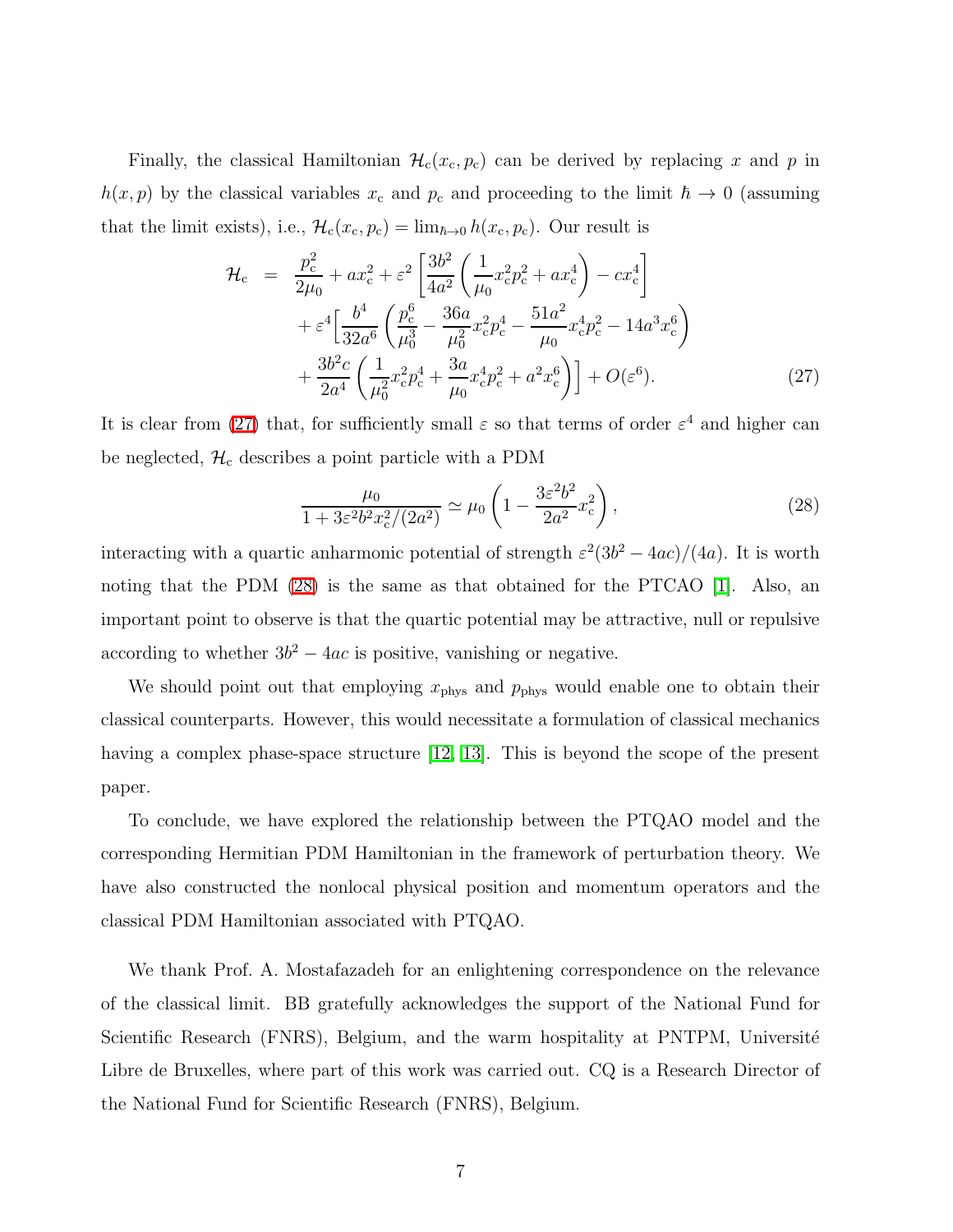<span id="page-6-0"></span>Finally, the classical Hamiltonian  $\mathcal{H}_c(x_c, p_c)$  can be derived by replacing x and p in  $h(x, p)$  by the classical variables  $x_c$  and  $p_c$  and proceeding to the limit  $\hbar \to 0$  (assuming that the limit exists), i.e.,  $\mathcal{H}_c(x_c, p_c) = \lim_{\hbar \to 0} h(x_c, p_c)$ . Our result is

$$
\mathcal{H}_{c} = \frac{p_{c}^{2}}{2\mu_{0}} + ax_{c}^{2} + \varepsilon^{2} \left[ \frac{3b^{2}}{4a^{2}} \left( \frac{1}{\mu_{0}} x_{c}^{2} p_{c}^{2} + ax_{c}^{4} \right) - cx_{c}^{4} \right] + \varepsilon^{4} \left[ \frac{b^{4}}{32a^{6}} \left( \frac{p_{c}^{6}}{\mu_{0}^{3}} - \frac{36a}{\mu_{0}^{2}} x_{c}^{2} p_{c}^{4} - \frac{51a^{2}}{\mu_{0}} x_{c}^{4} p_{c}^{2} - 14a^{3} x_{c}^{6} \right) + \frac{3b^{2}c}{2a^{4}} \left( \frac{1}{\mu_{0}^{2}} x_{c}^{2} p_{c}^{4} + \frac{3a}{\mu_{0}} x_{c}^{4} p_{c}^{2} + a^{2} x_{c}^{6} \right) \right] + O(\varepsilon^{6}). \tag{27}
$$

<span id="page-6-1"></span>It is clear from [\(27\)](#page-6-0) that, for sufficiently small  $\varepsilon$  so that terms of order  $\varepsilon^4$  and higher can be neglected,  $\mathcal{H}_c$  describes a point particle with a PDM

$$
\frac{\mu_0}{1 + 3\varepsilon^2 b^2 x_c^2 / (2a^2)} \simeq \mu_0 \left( 1 - \frac{3\varepsilon^2 b^2}{2a^2} x_c^2 \right),\tag{28}
$$

interacting with a quartic anharmonic potential of strength  $\varepsilon^2(3b^2 - 4ac)/(4a)$ . It is worth noting that the PDM [\(28\)](#page-6-1) is the same as that obtained for the PTCAO [\[1\]](#page-7-0). Also, an important point to observe is that the quartic potential may be attractive, null or repulsive according to whether  $3b^2 - 4ac$  is positive, vanishing or negative.

We should point out that employing  $x_{\text{phys}}$  and  $p_{\text{phys}}$  would enable one to obtain their classical counterparts. However, this would necessitate a formulation of classical mechanics having a complex phase-space structure [\[12,](#page-7-11) [13\]](#page-7-12). This is beyond the scope of the present paper.

To conclude, we have explored the relationship between the PTQAO model and the corresponding Hermitian PDM Hamiltonian in the framework of perturbation theory. We have also constructed the nonlocal physical position and momentum operators and the classical PDM Hamiltonian associated with PTQAO.

We thank Prof. A. Mostafazadeh for an enlightening correspondence on the relevance of the classical limit. BB gratefully acknowledges the support of the National Fund for Scientific Research (FNRS), Belgium, and the warm hospitality at PNTPM, Université Libre de Bruxelles, where part of this work was carried out. CQ is a Research Director of the National Fund for Scientific Research (FNRS), Belgium.